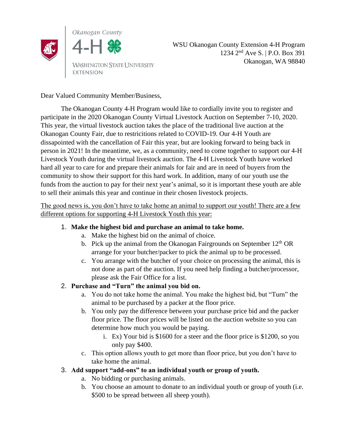

WSU Okanogan County Extension 4-H Program 1234 2 nd Ave S. | P.O. Box 391 Okanogan, WA 98840

Dear Valued Community Member/Business,

The Okanogan County 4-H Program would like to cordially invite you to register and participate in the 2020 Okanogan County Virtual Livestock Auction on September 7-10, 2020. This year, the virtual livestock auction takes the place of the traditional live auction at the Okanogan County Fair, due to restricitions related to COVID-19. Our 4-H Youth are dissapointed with the cancellation of Fair this year, but are looking forward to being back in person in 2021! In the meantime, we, as a community, need to come together to support our 4-H Livestock Youth during the virtual livestock auction. The 4-H Livestock Youth have worked hard all year to care for and prepare their animals for fair and are in need of buyers from the community to show their support for this hard work. In addition, many of our youth use the funds from the auction to pay for their next year's animal, so it is important these youth are able to sell their animals this year and continue in their chosen livestock projects.

The good news is, you don't have to take home an animal to support our youth! There are a few different options for supporting 4-H Livestock Youth this year:

## 1. **Make the highest bid and purchase an animal to take home.**

- a. Make the highest bid on the animal of choice.
- b. Pick up the animal from the Okanogan Fairgrounds on September  $12<sup>th</sup>$  OR arrange for your butcher/packer to pick the animal up to be processed.
- c. You arrange with the butcher of your choice on processing the animal, this is not done as part of the auction. If you need help finding a butcher/processor, please ask the Fair Office for a list.

## 2. **Purchase and "Turn" the animal you bid on.**

- a. You do not take home the animal. You make the highest bid, but "Turn" the animal to be purchased by a packer at the floor price.
- b. You only pay the difference between your purchase price bid and the packer floor price. The floor prices will be listed on the auction website so you can determine how much you would be paying.
	- i. Ex) Your bid is \$1600 for a steer and the floor price is \$1200, so you only pay \$400.
- c. This option allows youth to get more than floor price, but you don't have to take home the animal.

## 3. **Add support "add-ons" to an individual youth or group of youth.**

- a. No bidding or purchasing animals.
- b. You choose an amount to donate to an individual youth or group of youth (i.e. \$500 to be spread between all sheep youth).